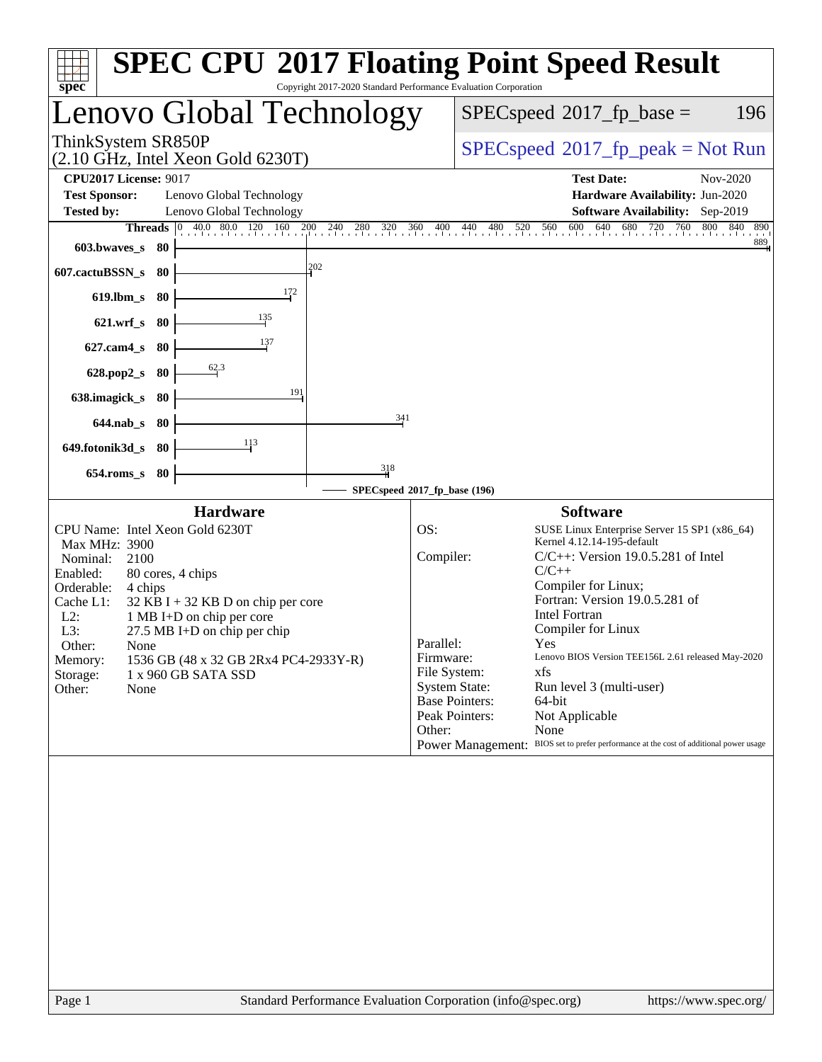| spec <sup>®</sup>                                                                                                                                                                                                                                 |                                                                                                                                                                                                                                                | Copyright 2017-2020 Standard Performance Evaluation Corporation |                                                                                                                                         | <b>SPEC CPU®2017 Floating Point Speed Result</b>                                                                                                                                                                                                                                                                                                                                                                                                                                       |
|---------------------------------------------------------------------------------------------------------------------------------------------------------------------------------------------------------------------------------------------------|------------------------------------------------------------------------------------------------------------------------------------------------------------------------------------------------------------------------------------------------|-----------------------------------------------------------------|-----------------------------------------------------------------------------------------------------------------------------------------|----------------------------------------------------------------------------------------------------------------------------------------------------------------------------------------------------------------------------------------------------------------------------------------------------------------------------------------------------------------------------------------------------------------------------------------------------------------------------------------|
|                                                                                                                                                                                                                                                   | Lenovo Global Technology                                                                                                                                                                                                                       |                                                                 |                                                                                                                                         | $SPEC speed^{\circ}2017$ _fp_base =<br>196                                                                                                                                                                                                                                                                                                                                                                                                                                             |
| ThinkSystem SR850P                                                                                                                                                                                                                                | $(2.10 \text{ GHz}, \text{Intel Xeon Gold } 6230 \text{T})$                                                                                                                                                                                    |                                                                 |                                                                                                                                         | $SPEC speed^{\circ}2017\_fp\_peak = Not Run$                                                                                                                                                                                                                                                                                                                                                                                                                                           |
| <b>CPU2017 License: 9017</b><br><b>Test Sponsor:</b><br><b>Tested by:</b><br>603.bwaves s 80<br>607.cactuBSSN_s<br>$619$ .lbm_s<br>$621.wrf$ <sub>S</sub><br>$627$ .cam $4$ s<br>$628.pop2_s$<br>638.imagick_s<br>$644$ .nab s<br>649.fotonik3d_s | Lenovo Global Technology<br>Lenovo Global Technology<br><b>Threads</b> 0 40.0 80.0 120 160 200 240 280 320 360 400 440 480<br>-80<br>-80<br>$\frac{135}{2}$<br>- 80<br>137<br>-80<br>62.3<br>80<br>-80<br>- 80<br>113<br>-80                   | 202<br>172<br>191<br>341                                        |                                                                                                                                         | <b>Test Date:</b><br>Nov-2020<br>Hardware Availability: Jun-2020<br>Software Availability: Sep-2019<br>680 720 760 800 840<br>520 560 600 640 680<br>840<br>890<br>889                                                                                                                                                                                                                                                                                                                 |
| $654$ .roms_s                                                                                                                                                                                                                                     | - 80                                                                                                                                                                                                                                           | $\frac{318}{1}$                                                 | SPECspeed®2017_fp_base (196)                                                                                                            |                                                                                                                                                                                                                                                                                                                                                                                                                                                                                        |
| Max MHz: 3900<br>Nominal:<br>2100<br>Enabled:<br>Orderable:<br>4 chips<br>Cache L1:<br>$L2$ :<br>L3:<br>Other:<br><b>None</b><br>Memory:<br>Storage:<br>Other:<br>None                                                                            | <b>Hardware</b><br>CPU Name: Intel Xeon Gold 6230T<br>80 cores, 4 chips<br>$32$ KB I + 32 KB D on chip per core<br>1 MB I+D on chip per core<br>$27.5$ MB I+D on chip per chip<br>1536 GB (48 x 32 GB 2Rx4 PC4-2933Y-R)<br>1 x 960 GB SATA SSD |                                                                 | OS:<br>Compiler:<br>Parallel:<br>Firmware:<br>File System:<br><b>System State:</b><br><b>Base Pointers:</b><br>Peak Pointers:<br>Other: | <b>Software</b><br>SUSE Linux Enterprise Server 15 SP1 (x86_64)<br>Kernel 4.12.14-195-default<br>$C/C++$ : Version 19.0.5.281 of Intel<br>$C/C++$<br>Compiler for Linux;<br>Fortran: Version 19.0.5.281 of<br><b>Intel Fortran</b><br>Compiler for Linux<br>Yes<br>Lenovo BIOS Version TEE156L 2.61 released May-2020<br>xfs<br>Run level 3 (multi-user)<br>64-bit<br>Not Applicable<br>None<br>Power Management: BIOS set to prefer performance at the cost of additional power usage |
|                                                                                                                                                                                                                                                   |                                                                                                                                                                                                                                                |                                                                 |                                                                                                                                         |                                                                                                                                                                                                                                                                                                                                                                                                                                                                                        |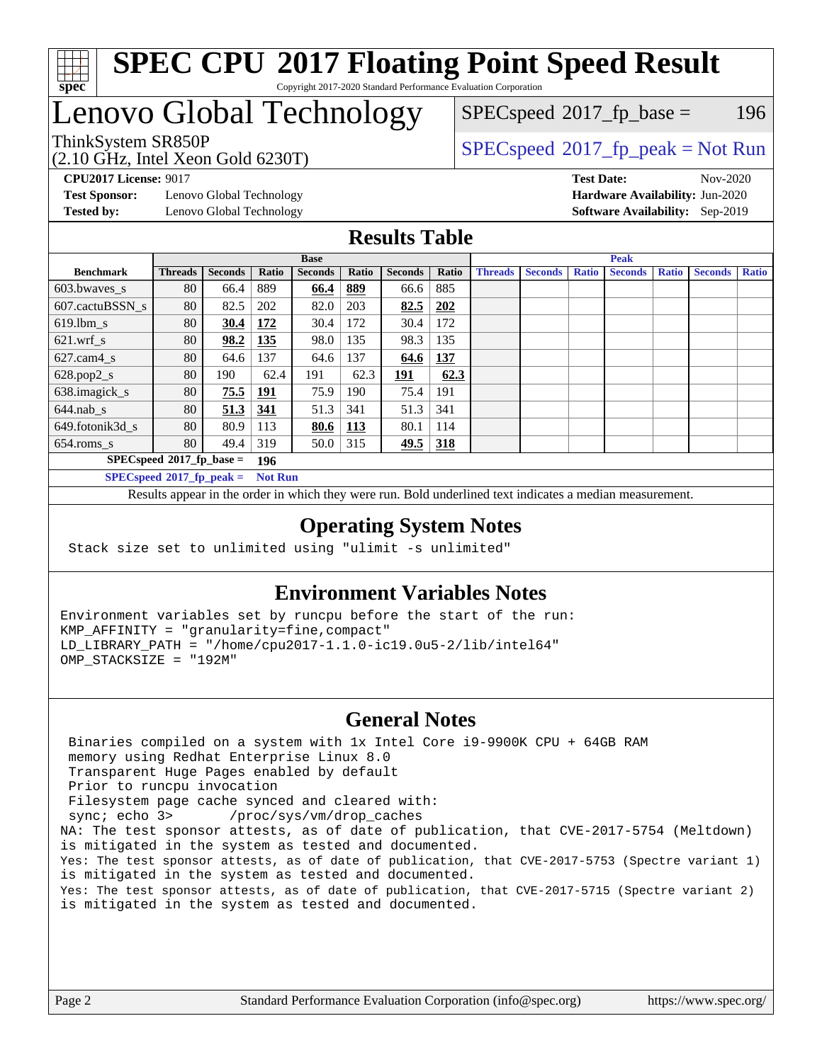

Copyright 2017-2020 Standard Performance Evaluation Corporation

# Lenovo Global Technology

(2.10 GHz, Intel Xeon Gold 6230T) ThinkSystem SR850P<br>  $(2.10 \text{ GHz. Intel Yoon Gold } 6230 \text{T})$   $SPEC speed^{\circ}2017\_fp\_peak = Not Run$ 

 $SPECspeed^{\circledcirc}2017_fp\_base = 196$  $SPECspeed^{\circledcirc}2017_fp\_base = 196$ 

**[Test Sponsor:](http://www.spec.org/auto/cpu2017/Docs/result-fields.html#TestSponsor)** Lenovo Global Technology **[Hardware Availability:](http://www.spec.org/auto/cpu2017/Docs/result-fields.html#HardwareAvailability)** Jun-2020 **[Tested by:](http://www.spec.org/auto/cpu2017/Docs/result-fields.html#Testedby)** Lenovo Global Technology **[Software Availability:](http://www.spec.org/auto/cpu2017/Docs/result-fields.html#SoftwareAvailability)** Sep-2019

**[CPU2017 License:](http://www.spec.org/auto/cpu2017/Docs/result-fields.html#CPU2017License)** 9017 **[Test Date:](http://www.spec.org/auto/cpu2017/Docs/result-fields.html#TestDate)** Nov-2020

#### **[Results Table](http://www.spec.org/auto/cpu2017/Docs/result-fields.html#ResultsTable)**

|                             | <b>Base</b>                 |                |                |                |            | <b>Peak</b>    |       |                |                |              |                |              |                |              |
|-----------------------------|-----------------------------|----------------|----------------|----------------|------------|----------------|-------|----------------|----------------|--------------|----------------|--------------|----------------|--------------|
| <b>Benchmark</b>            | <b>Threads</b>              | <b>Seconds</b> | Ratio          | <b>Seconds</b> | Ratio      | <b>Seconds</b> | Ratio | <b>Threads</b> | <b>Seconds</b> | <b>Ratio</b> | <b>Seconds</b> | <b>Ratio</b> | <b>Seconds</b> | <b>Ratio</b> |
| 603.bwayes s                | 80                          | 66.4           | 889            | 66.4           | 889        | 66.6           | 885   |                |                |              |                |              |                |              |
| 607.cactuBSSN s             | 80                          | 82.5           | 202            | 82.0           | 203        | 82.5           | 202   |                |                |              |                |              |                |              |
| $619.$ lbm s                | 80                          | 30.4           | 172            | 30.4           | 172        | 30.4           | 172   |                |                |              |                |              |                |              |
| $621.wrf$ s                 | 80                          | 98.2           | <u>135</u>     | 98.0           | 135        | 98.3           | 135   |                |                |              |                |              |                |              |
| $627$ .cam4 s               | 80                          | 64.6           | 137            | 64.6           | 137        | 64.6           | 137   |                |                |              |                |              |                |              |
| $628.pop2_s$                | 80                          | 190            | 62.4           | 191            | 62.3       | 191            | 62.3  |                |                |              |                |              |                |              |
| 638.imagick_s               | 80                          | 75.5           | 191            | 75.9           | 190        | 75.4           | 191   |                |                |              |                |              |                |              |
| $644$ .nab s                | 80                          | 51.3           | 341            | 51.3           | 341        | 51.3           | 341   |                |                |              |                |              |                |              |
| 649.fotonik3d s             | 80                          | 80.9           | 113            | <u>80.6</u>    | <u>113</u> | 80.1           | 114   |                |                |              |                |              |                |              |
| $654$ .roms s               | 80                          | 49.4           | 319            | 50.0           | 315        | 49.5           | 318   |                |                |              |                |              |                |              |
|                             | $SPECspeed*2017_fp\_base =$ |                | 196            |                |            |                |       |                |                |              |                |              |                |              |
| $SPECspeed*2017_fp\_peak =$ |                             |                | <b>Not Run</b> |                |            |                |       |                |                |              |                |              |                |              |

Results appear in the [order in which they were run.](http://www.spec.org/auto/cpu2017/Docs/result-fields.html#RunOrder) Bold underlined text [indicates a median measurement](http://www.spec.org/auto/cpu2017/Docs/result-fields.html#Median).

#### **[Operating System Notes](http://www.spec.org/auto/cpu2017/Docs/result-fields.html#OperatingSystemNotes)**

Stack size set to unlimited using "ulimit -s unlimited"

### **[Environment Variables Notes](http://www.spec.org/auto/cpu2017/Docs/result-fields.html#EnvironmentVariablesNotes)**

Environment variables set by runcpu before the start of the run: KMP\_AFFINITY = "granularity=fine,compact" LD\_LIBRARY\_PATH = "/home/cpu2017-1.1.0-ic19.0u5-2/lib/intel64" OMP\_STACKSIZE = "192M"

#### **[General Notes](http://www.spec.org/auto/cpu2017/Docs/result-fields.html#GeneralNotes)**

 Binaries compiled on a system with 1x Intel Core i9-9900K CPU + 64GB RAM memory using Redhat Enterprise Linux 8.0 Transparent Huge Pages enabled by default Prior to runcpu invocation Filesystem page cache synced and cleared with: sync; echo 3> /proc/sys/vm/drop\_caches NA: The test sponsor attests, as of date of publication, that CVE-2017-5754 (Meltdown) is mitigated in the system as tested and documented. Yes: The test sponsor attests, as of date of publication, that CVE-2017-5753 (Spectre variant 1) is mitigated in the system as tested and documented. Yes: The test sponsor attests, as of date of publication, that CVE-2017-5715 (Spectre variant 2) is mitigated in the system as tested and documented.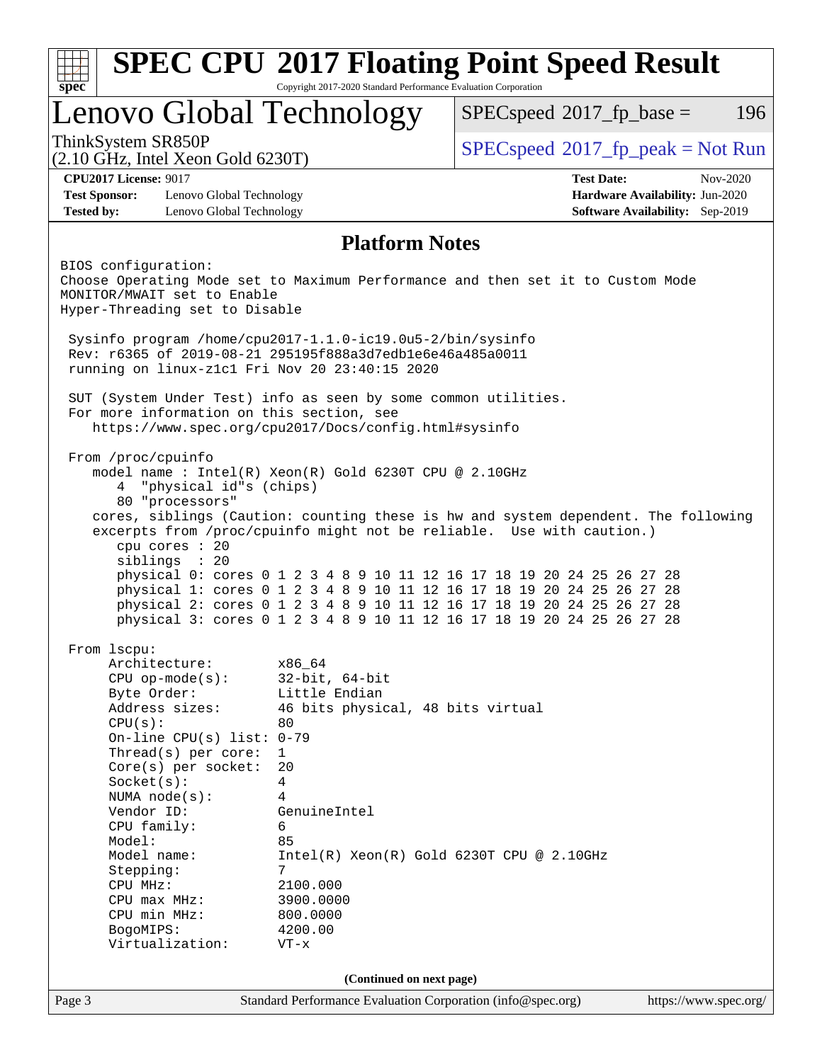| spec<br>Lenovo Global Technology<br>ThinkSystem SR850P<br>$(2.10 \text{ GHz}, \text{Intel Xeon Gold } 6230 \text{T})$<br><b>CPU2017 License: 9017</b><br><b>Test Sponsor:</b><br>Lenovo Global Technology | Copyright 2017-2020 Standard Performance Evaluation Corporation                  | $SPEC speed^{\circ}2017$ _fp_base =<br>196                                                                                                                                                                                                                                                                                                                                                |
|-----------------------------------------------------------------------------------------------------------------------------------------------------------------------------------------------------------|----------------------------------------------------------------------------------|-------------------------------------------------------------------------------------------------------------------------------------------------------------------------------------------------------------------------------------------------------------------------------------------------------------------------------------------------------------------------------------------|
|                                                                                                                                                                                                           |                                                                                  |                                                                                                                                                                                                                                                                                                                                                                                           |
|                                                                                                                                                                                                           |                                                                                  | $SPEC speed^{\circ}2017\_fp\_peak = Not Run$                                                                                                                                                                                                                                                                                                                                              |
|                                                                                                                                                                                                           |                                                                                  | <b>Test Date:</b><br>$Nov-2020$                                                                                                                                                                                                                                                                                                                                                           |
|                                                                                                                                                                                                           |                                                                                  | Hardware Availability: Jun-2020                                                                                                                                                                                                                                                                                                                                                           |
| Lenovo Global Technology<br><b>Tested by:</b>                                                                                                                                                             |                                                                                  | Software Availability: Sep-2019                                                                                                                                                                                                                                                                                                                                                           |
|                                                                                                                                                                                                           | <b>Platform Notes</b>                                                            |                                                                                                                                                                                                                                                                                                                                                                                           |
| BIOS configuration:<br>MONITOR/MWAIT set to Enable<br>Hyper-Threading set to Disable                                                                                                                      |                                                                                  | Choose Operating Mode set to Maximum Performance and then set it to Custom Mode                                                                                                                                                                                                                                                                                                           |
| Sysinfo program /home/cpu2017-1.1.0-ic19.0u5-2/bin/sysinfo<br>Rev: r6365 of 2019-08-21 295195f888a3d7edble6e46a485a0011<br>running on linux-z1c1 Fri Nov 20 23:40:15 2020                                 |                                                                                  |                                                                                                                                                                                                                                                                                                                                                                                           |
| SUT (System Under Test) info as seen by some common utilities.<br>For more information on this section, see<br>https://www.spec.org/cpu2017/Docs/config.html#sysinfo                                      |                                                                                  |                                                                                                                                                                                                                                                                                                                                                                                           |
| From /proc/cpuinfo<br>model name: $Intel(R)$ Xeon $(R)$ Gold 6230T CPU @ 2.10GHz<br>"physical id"s (chips)<br>4<br>80 "processors"<br>cpu cores : 20<br>siblings : 20                                     |                                                                                  | cores, siblings (Caution: counting these is hw and system dependent. The following<br>excerpts from /proc/cpuinfo might not be reliable. Use with caution.)<br>physical 0: cores 0 1 2 3 4 8 9 10 11 12 16 17 18 19 20 24 25 26 27 28<br>physical 1: cores 0 1 2 3 4 8 9 10 11 12 16 17 18 19 20 24 25 26 27 28<br>physical 2: cores 0 1 2 3 4 8 9 10 11 12 16 17 18 19 20 24 25 26 27 28 |
| From 1scpu:<br>Architecture:                                                                                                                                                                              | x86_64                                                                           | physical 3: cores 0 1 2 3 4 8 9 10 11 12 16 17 18 19 20 24 25 26 27 28                                                                                                                                                                                                                                                                                                                    |
| $CPU$ op-mode( $s$ ):<br>Byte Order:<br>Address sizes:<br>CPU(s):<br>On-line CPU(s) list: $0-79$                                                                                                          | $32$ -bit, $64$ -bit<br>Little Endian<br>46 bits physical, 48 bits virtual<br>80 |                                                                                                                                                                                                                                                                                                                                                                                           |
| Thread( $s$ ) per core:<br>$Core(s)$ per socket:<br>Socket(s):<br>NUMA $node(s):$                                                                                                                         | 1<br>20<br>4<br>4                                                                |                                                                                                                                                                                                                                                                                                                                                                                           |
| Vendor ID:<br>CPU family:<br>Model:<br>Model name:                                                                                                                                                        | GenuineIntel<br>6<br>85                                                          | $Intel(R) Xeon(R) Gold 6230T CPU @ 2.10GHz$                                                                                                                                                                                                                                                                                                                                               |
| Stepping:<br>CPU MHz:<br>$CPU$ max $MHz$ :<br>CPU min MHz:<br>BogoMIPS:                                                                                                                                   | 7<br>2100.000<br>3900.0000<br>800.0000<br>4200.00                                |                                                                                                                                                                                                                                                                                                                                                                                           |
| Virtualization:                                                                                                                                                                                           | $VT - x$<br>(Continued on next page)                                             |                                                                                                                                                                                                                                                                                                                                                                                           |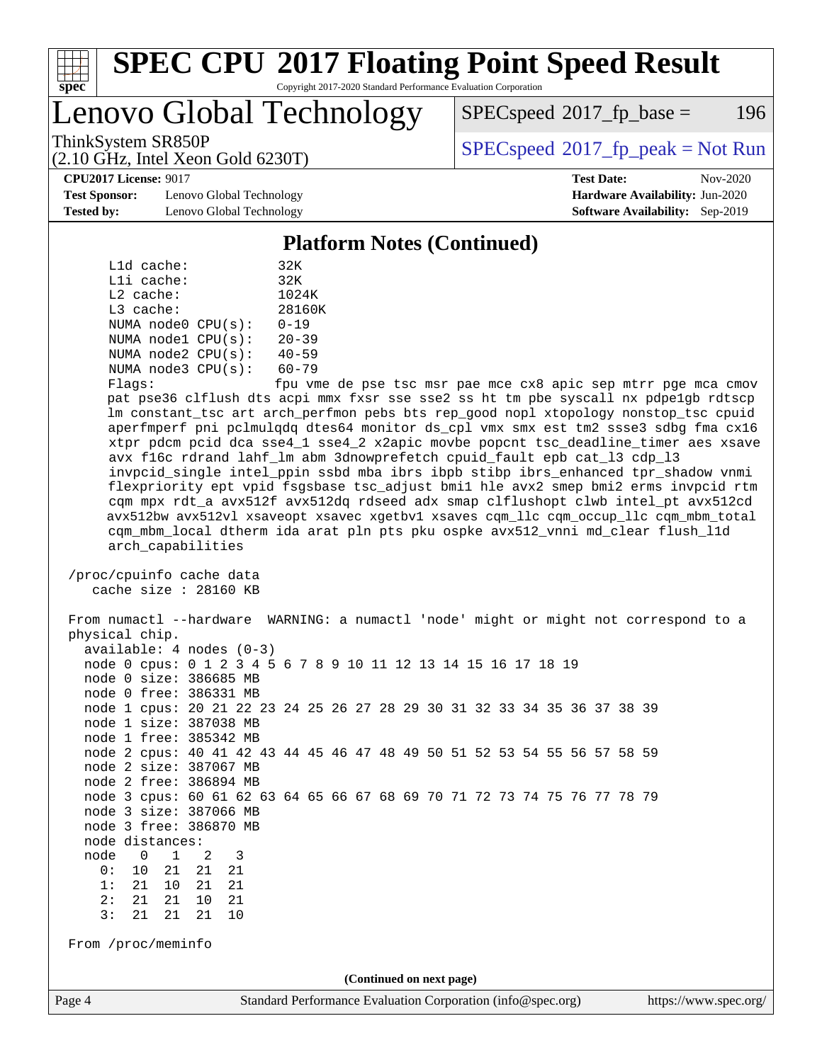

Copyright 2017-2020 Standard Performance Evaluation Corporation

Lenovo Global Technology

 $SPEC speed^{\circ}2017\_fp\_base = 196$ 

ThinkSystem SR850P<br>  $(2.10 \text{ GHz. Intel Yes} \cdot \text{Cold } 6220 \text{T})$  [SPECspeed](http://www.spec.org/auto/cpu2017/Docs/result-fields.html#SPECspeed2017fppeak)®[2017\\_fp\\_peak = N](http://www.spec.org/auto/cpu2017/Docs/result-fields.html#SPECspeed2017fppeak)ot Run

**[CPU2017 License:](http://www.spec.org/auto/cpu2017/Docs/result-fields.html#CPU2017License)** 9017 **[Test Date:](http://www.spec.org/auto/cpu2017/Docs/result-fields.html#TestDate)** Nov-2020

**[Test Sponsor:](http://www.spec.org/auto/cpu2017/Docs/result-fields.html#TestSponsor)** Lenovo Global Technology **[Hardware Availability:](http://www.spec.org/auto/cpu2017/Docs/result-fields.html#HardwareAvailability)** Jun-2020 **[Tested by:](http://www.spec.org/auto/cpu2017/Docs/result-fields.html#Testedby)** Lenovo Global Technology **[Software Availability:](http://www.spec.org/auto/cpu2017/Docs/result-fields.html#SoftwareAvailability)** Sep-2019

(2.10 GHz, Intel Xeon Gold 6230T)

#### **[Platform Notes \(Continued\)](http://www.spec.org/auto/cpu2017/Docs/result-fields.html#PlatformNotes)**

|             | L1d cache:   |                         | 32K           |
|-------------|--------------|-------------------------|---------------|
|             | $L1i$ cache: |                         | 32K           |
| $L2$ cache: |              |                         | 1024K         |
| $L3$ cache: |              |                         | 28160K        |
|             |              | NUMA node0 CPU(s):      | $0 - 19$      |
|             |              | NUMA $node1$ $CPU(s)$ : | $20 - 39$     |
|             |              | NUMA node2 CPU(s):      | $40 - 59$     |
|             |              | NUMA node3 CPU(s):      | $60 - 79$     |
|             |              |                         | $\sim$ $\sim$ |

Flags: fpu vme de pse tsc msr pae mce cx8 apic sep mtrr pge mca cmov pat pse36 clflush dts acpi mmx fxsr sse sse2 ss ht tm pbe syscall nx pdpe1gb rdtscp lm constant\_tsc art arch\_perfmon pebs bts rep\_good nopl xtopology nonstop\_tsc cpuid aperfmperf pni pclmulqdq dtes64 monitor ds\_cpl vmx smx est tm2 ssse3 sdbg fma cx16 xtpr pdcm pcid dca sse4\_1 sse4\_2 x2apic movbe popcnt tsc\_deadline\_timer aes xsave avx f16c rdrand lahf\_lm abm 3dnowprefetch cpuid\_fault epb cat\_l3 cdp\_l3 invpcid\_single intel\_ppin ssbd mba ibrs ibpb stibp ibrs\_enhanced tpr\_shadow vnmi flexpriority ept vpid fsgsbase tsc\_adjust bmi1 hle avx2 smep bmi2 erms invpcid rtm cqm mpx rdt\_a avx512f avx512dq rdseed adx smap clflushopt clwb intel\_pt avx512cd avx512bw avx512vl xsaveopt xsavec xgetbv1 xsaves cqm\_llc cqm\_occup\_llc cqm\_mbm\_total cqm\_mbm\_local dtherm ida arat pln pts pku ospke avx512\_vnni md\_clear flush\_l1d arch\_capabilities

 /proc/cpuinfo cache data cache size : 28160 KB

 From numactl --hardware WARNING: a numactl 'node' might or might not correspond to a physical chip. available: 4 nodes (0-3) node 0 cpus: 0 1 2 3 4 5 6 7 8 9 10 11 12 13 14 15 16 17 18 19 node 0 size: 386685 MB node 0 free: 386331 MB node 1 cpus: 20 21 22 23 24 25 26 27 28 29 30 31 32 33 34 35 36 37 38 39 node 1 size: 387038 MB node 1 free: 385342 MB node 2 cpus: 40 41 42 43 44 45 46 47 48 49 50 51 52 53 54 55 56 57 58 59 node 2 size: 387067 MB node 2 free: 386894 MB node 3 cpus: 60 61 62 63 64 65 66 67 68 69 70 71 72 73 74 75 76 77 78 79 node 3 size: 387066 MB node 3 free: 386870 MB node distances: node 0 1 2 3 0: 10 21 21 21 1: 21 10 21 21 2: 21 21 10 21 3: 21 21 21 10 From /proc/meminfo **(Continued on next page)**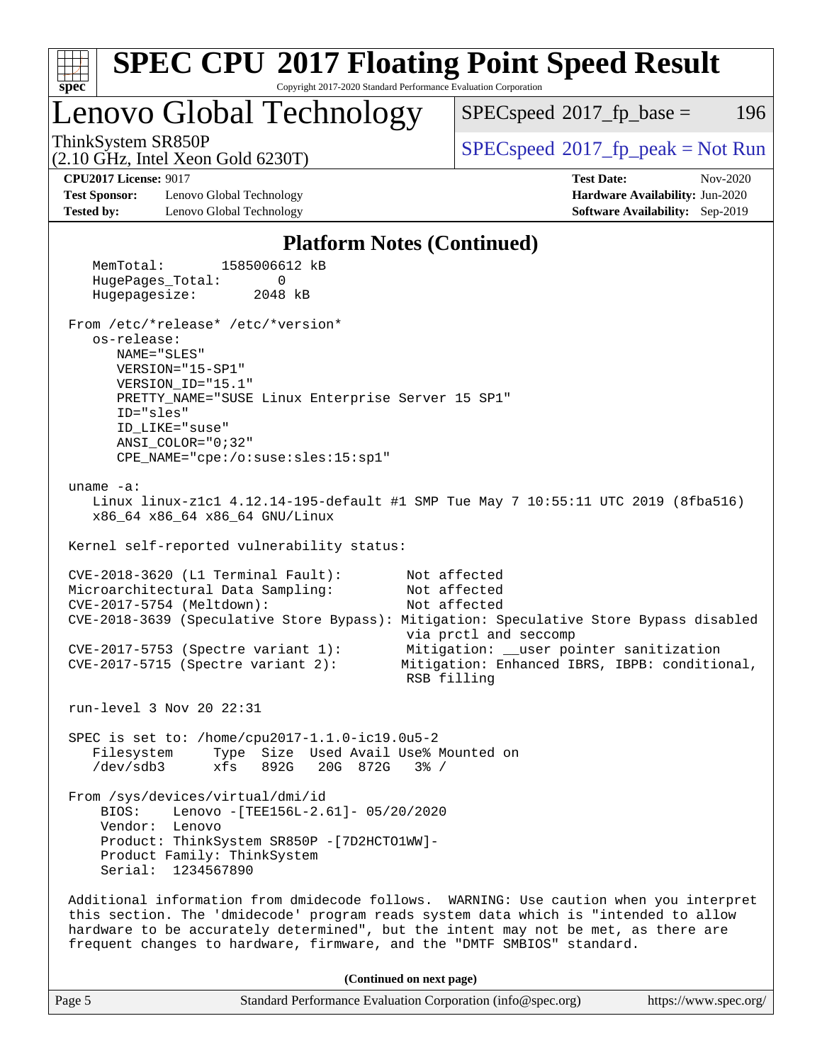| <b>SPEC CPU®2017 Floating Point Speed Result</b>                                                                                                                                                                                                                                                                                               |                                                                                                                                                                                  |
|------------------------------------------------------------------------------------------------------------------------------------------------------------------------------------------------------------------------------------------------------------------------------------------------------------------------------------------------|----------------------------------------------------------------------------------------------------------------------------------------------------------------------------------|
| Copyright 2017-2020 Standard Performance Evaluation Corporation<br>spec <sup>®</sup><br>Lenovo Global Technology                                                                                                                                                                                                                               | 196<br>$SPEC speed^{\circ}2017\_fp\_base =$                                                                                                                                      |
| ThinkSystem SR850P                                                                                                                                                                                                                                                                                                                             | $SPEC speed$ <sup>®</sup> 2017_fp_peak = Not Run                                                                                                                                 |
| $(2.10 \text{ GHz}, \text{Intel Xeon Gold } 6230 \text{T})$<br><b>CPU2017 License: 9017</b><br><b>Test Sponsor:</b><br>Lenovo Global Technology<br><b>Tested by:</b><br>Lenovo Global Technology                                                                                                                                               | <b>Test Date:</b><br>Nov-2020<br>Hardware Availability: Jun-2020<br>Software Availability: Sep-2019                                                                              |
| <b>Platform Notes (Continued)</b>                                                                                                                                                                                                                                                                                                              |                                                                                                                                                                                  |
| MemTotal:<br>1585006612 kB<br>HugePages_Total:<br>0<br>Hugepagesize:<br>2048 kB                                                                                                                                                                                                                                                                |                                                                                                                                                                                  |
| From /etc/*release* /etc/*version*<br>os-release:<br>NAME="SLES"<br>VERSION="15-SP1"<br>VERSION_ID="15.1"<br>PRETTY_NAME="SUSE Linux Enterprise Server 15 SP1"<br>ID="sles"<br>ID_LIKE="suse"<br>$ANSI$ _COLOR=" $0:32$ "<br>CPE_NAME="cpe:/o:suse:sles:15:sp1"                                                                                |                                                                                                                                                                                  |
| uname $-a$ :<br>Linux linux-z1c1 4.12.14-195-default #1 SMP Tue May 7 10:55:11 UTC 2019 (8fba516)<br>x86_64 x86_64 x86_64 GNU/Linux<br>Kernel self-reported vulnerability status:                                                                                                                                                              |                                                                                                                                                                                  |
| $CVE-2018-3620$ (L1 Terminal Fault):<br>Microarchitectural Data Sampling:<br>CVE-2017-5754 (Meltdown):<br>CVE-2018-3639 (Speculative Store Bypass): Mitigation: Speculative Store Bypass disabled<br>$CVE-2017-5753$ (Spectre variant 1):<br>$CVE-2017-5715$ (Spectre variant 2):                                                              | Not affected<br>Not affected<br>Not affected<br>via prctl and seccomp<br>Mitigation: __user pointer sanitization<br>Mitigation: Enhanced IBRS, IBPB: conditional,<br>RSB filling |
| run-level 3 Nov 20 22:31                                                                                                                                                                                                                                                                                                                       |                                                                                                                                                                                  |
| SPEC is set to: /home/cpu2017-1.1.0-ic19.0u5-2<br>Type Size Used Avail Use% Mounted on<br>Filesystem<br>/dev/sdb3<br>892G<br>20G 872G<br>xfs<br>$3\frac{6}{6}$ /                                                                                                                                                                               |                                                                                                                                                                                  |
| From /sys/devices/virtual/dmi/id<br>Lenovo - [TEE156L-2.61]- 05/20/2020<br>BIOS:<br>Vendor: Lenovo<br>Product: ThinkSystem SR850P - [7D2HCTO1WW]-<br>Product Family: ThinkSystem<br>Serial: 1234567890                                                                                                                                         |                                                                                                                                                                                  |
| Additional information from dmidecode follows. WARNING: Use caution when you interpret<br>this section. The 'dmidecode' program reads system data which is "intended to allow<br>hardware to be accurately determined", but the intent may not be met, as there are<br>frequent changes to hardware, firmware, and the "DMTF SMBIOS" standard. |                                                                                                                                                                                  |
| (Continued on next page)                                                                                                                                                                                                                                                                                                                       |                                                                                                                                                                                  |

|--|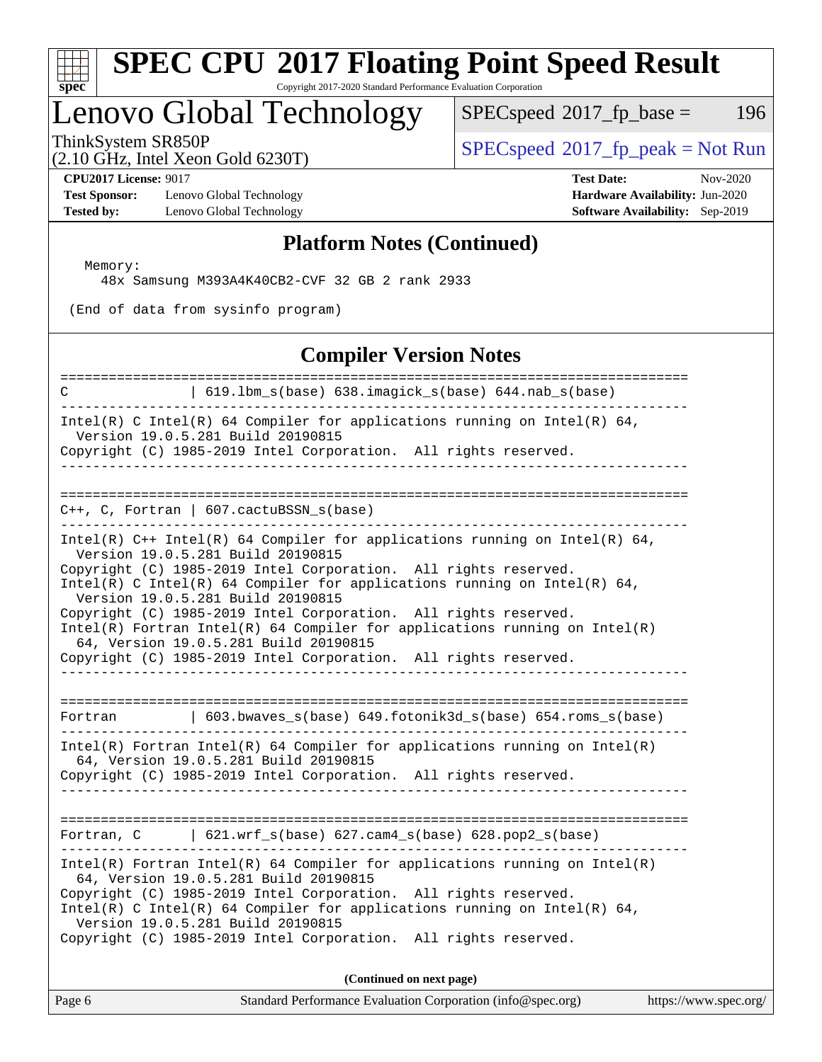

Copyright 2017-2020 Standard Performance Evaluation Corporation

# Lenovo Global Technology

 $SPECspeed*2017_fp\_base = 196$  $SPECspeed*2017_fp\_base = 196$ 

(2.10 GHz, Intel Xeon Gold 6230T)

 $SPEC speed^{\circ}2017\_fp\_peak = Not Run$ 

**[Test Sponsor:](http://www.spec.org/auto/cpu2017/Docs/result-fields.html#TestSponsor)** Lenovo Global Technology **[Hardware Availability:](http://www.spec.org/auto/cpu2017/Docs/result-fields.html#HardwareAvailability)** Jun-2020 **[Tested by:](http://www.spec.org/auto/cpu2017/Docs/result-fields.html#Testedby)** Lenovo Global Technology **[Software Availability:](http://www.spec.org/auto/cpu2017/Docs/result-fields.html#SoftwareAvailability)** Sep-2019

**[CPU2017 License:](http://www.spec.org/auto/cpu2017/Docs/result-fields.html#CPU2017License)** 9017 **[Test Date:](http://www.spec.org/auto/cpu2017/Docs/result-fields.html#TestDate)** Nov-2020

#### **[Platform Notes \(Continued\)](http://www.spec.org/auto/cpu2017/Docs/result-fields.html#PlatformNotes)**

Memory:

48x Samsung M393A4K40CB2-CVF 32 GB 2 rank 2933

(End of data from sysinfo program)

#### **[Compiler Version Notes](http://www.spec.org/auto/cpu2017/Docs/result-fields.html#CompilerVersionNotes)**

| =====================================<br>C<br>  619.1bm_s(base) 638.imagick_s(base) 644.nab_s(base)<br>__________________________________                                                                                                                                                                                                                                                                                                                                                                                                                                                       |
|-------------------------------------------------------------------------------------------------------------------------------------------------------------------------------------------------------------------------------------------------------------------------------------------------------------------------------------------------------------------------------------------------------------------------------------------------------------------------------------------------------------------------------------------------------------------------------------------------|
| Intel(R) C Intel(R) 64 Compiler for applications running on Intel(R) 64,<br>Version 19.0.5.281 Build 20190815<br>Copyright (C) 1985-2019 Intel Corporation. All rights reserved.<br>________________                                                                                                                                                                                                                                                                                                                                                                                            |
|                                                                                                                                                                                                                                                                                                                                                                                                                                                                                                                                                                                                 |
| $C++$ , C, Fortran   607.cactuBSSN_s(base)<br>. _ _ _ _ _ _ _ _ _ _ _ _ _ _ _                                                                                                                                                                                                                                                                                                                                                                                                                                                                                                                   |
| Intel(R) $C++$ Intel(R) 64 Compiler for applications running on Intel(R) 64,<br>Version 19.0.5.281 Build 20190815<br>Copyright (C) 1985-2019 Intel Corporation. All rights reserved.<br>Intel(R) C Intel(R) 64 Compiler for applications running on Intel(R) 64,<br>Version 19.0.5.281 Build 20190815<br>Copyright (C) 1985-2019 Intel Corporation. All rights reserved.<br>$Intel(R)$ Fortran Intel(R) 64 Compiler for applications running on Intel(R)<br>64, Version 19.0.5.281 Build 20190815<br>Copyright (C) 1985-2019 Intel Corporation. All rights reserved.<br>_______________________ |
| 603.bwaves_s(base) 649.fotonik3d_s(base) 654.roms_s(base)<br>Fortran                                                                                                                                                                                                                                                                                                                                                                                                                                                                                                                            |
| $Intel(R)$ Fortran Intel(R) 64 Compiler for applications running on Intel(R)<br>64, Version 19.0.5.281 Build 20190815<br>Copyright (C) 1985-2019 Intel Corporation. All rights reserved.                                                                                                                                                                                                                                                                                                                                                                                                        |
| Fortran, $C$   621.wrf_s(base) 627.cam4_s(base) 628.pop2_s(base)                                                                                                                                                                                                                                                                                                                                                                                                                                                                                                                                |
| $Intel(R)$ Fortran Intel(R) 64 Compiler for applications running on Intel(R)<br>64, Version 19.0.5.281 Build 20190815<br>Copyright (C) 1985-2019 Intel Corporation. All rights reserved.<br>Intel(R) C Intel(R) 64 Compiler for applications running on Intel(R) 64,<br>Version 19.0.5.281 Build 20190815<br>Copyright (C) 1985-2019 Intel Corporation. All rights reserved.                                                                                                                                                                                                                    |
| (Continued on next page)                                                                                                                                                                                                                                                                                                                                                                                                                                                                                                                                                                        |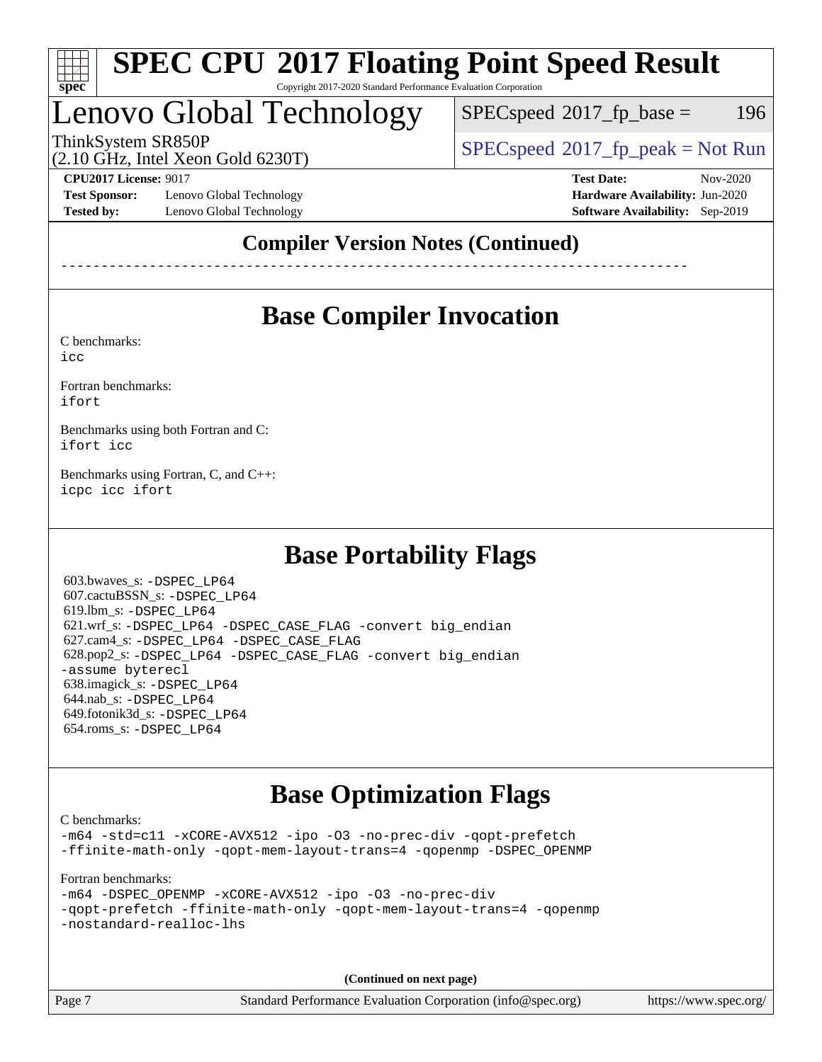

#### **[SPEC CPU](http://www.spec.org/auto/cpu2017/Docs/result-fields.html#SPECCPU2017FloatingPointSpeedResult)[2017 Floating Point Speed Result](http://www.spec.org/auto/cpu2017/Docs/result-fields.html#SPECCPU2017FloatingPointSpeedResult)** Copyright 2017-2020 Standard Performance Evaluation Corporation

## Lenovo Global Technology

 $SPEC speed^{\circ}2017\_fp\_base = 196$ 

ThinkSystem SR850P<br>  $\begin{array}{c}\n\text{SPEC speed} \text{?}2017 \text{ fp\_peak} = \text{Not Run} \\
\text{SPEC speed} \text{?}2017 \text{ fp\_peak} = \text{Not Run} \\
\end{array}$ 

(2.10 GHz, Intel Xeon Gold 6230T)

**[Test Sponsor:](http://www.spec.org/auto/cpu2017/Docs/result-fields.html#TestSponsor)** Lenovo Global Technology **[Hardware Availability:](http://www.spec.org/auto/cpu2017/Docs/result-fields.html#HardwareAvailability)** Jun-2020 **[Tested by:](http://www.spec.org/auto/cpu2017/Docs/result-fields.html#Testedby)** Lenovo Global Technology **[Software Availability:](http://www.spec.org/auto/cpu2017/Docs/result-fields.html#SoftwareAvailability)** Sep-2019

**[CPU2017 License:](http://www.spec.org/auto/cpu2017/Docs/result-fields.html#CPU2017License)** 9017 **[Test Date:](http://www.spec.org/auto/cpu2017/Docs/result-fields.html#TestDate)** Nov-2020

### **[Compiler Version Notes \(Continued\)](http://www.spec.org/auto/cpu2017/Docs/result-fields.html#CompilerVersionNotes)**

------------------------------------------------------------------------------

### **[Base Compiler Invocation](http://www.spec.org/auto/cpu2017/Docs/result-fields.html#BaseCompilerInvocation)**

[C benchmarks](http://www.spec.org/auto/cpu2017/Docs/result-fields.html#Cbenchmarks):

[icc](http://www.spec.org/cpu2017/results/res2020q4/cpu2017-20201207-24520.flags.html#user_CCbase_intel_icc_66fc1ee009f7361af1fbd72ca7dcefbb700085f36577c54f309893dd4ec40d12360134090235512931783d35fd58c0460139e722d5067c5574d8eaf2b3e37e92)

[Fortran benchmarks](http://www.spec.org/auto/cpu2017/Docs/result-fields.html#Fortranbenchmarks): [ifort](http://www.spec.org/cpu2017/results/res2020q4/cpu2017-20201207-24520.flags.html#user_FCbase_intel_ifort_8111460550e3ca792625aed983ce982f94888b8b503583aa7ba2b8303487b4d8a21a13e7191a45c5fd58ff318f48f9492884d4413fa793fd88dd292cad7027ca)

[Benchmarks using both Fortran and C](http://www.spec.org/auto/cpu2017/Docs/result-fields.html#BenchmarksusingbothFortranandC): [ifort](http://www.spec.org/cpu2017/results/res2020q4/cpu2017-20201207-24520.flags.html#user_CC_FCbase_intel_ifort_8111460550e3ca792625aed983ce982f94888b8b503583aa7ba2b8303487b4d8a21a13e7191a45c5fd58ff318f48f9492884d4413fa793fd88dd292cad7027ca) [icc](http://www.spec.org/cpu2017/results/res2020q4/cpu2017-20201207-24520.flags.html#user_CC_FCbase_intel_icc_66fc1ee009f7361af1fbd72ca7dcefbb700085f36577c54f309893dd4ec40d12360134090235512931783d35fd58c0460139e722d5067c5574d8eaf2b3e37e92)

[Benchmarks using Fortran, C, and C++:](http://www.spec.org/auto/cpu2017/Docs/result-fields.html#BenchmarksusingFortranCandCXX) [icpc](http://www.spec.org/cpu2017/results/res2020q4/cpu2017-20201207-24520.flags.html#user_CC_CXX_FCbase_intel_icpc_c510b6838c7f56d33e37e94d029a35b4a7bccf4766a728ee175e80a419847e808290a9b78be685c44ab727ea267ec2f070ec5dc83b407c0218cded6866a35d07) [icc](http://www.spec.org/cpu2017/results/res2020q4/cpu2017-20201207-24520.flags.html#user_CC_CXX_FCbase_intel_icc_66fc1ee009f7361af1fbd72ca7dcefbb700085f36577c54f309893dd4ec40d12360134090235512931783d35fd58c0460139e722d5067c5574d8eaf2b3e37e92) [ifort](http://www.spec.org/cpu2017/results/res2020q4/cpu2017-20201207-24520.flags.html#user_CC_CXX_FCbase_intel_ifort_8111460550e3ca792625aed983ce982f94888b8b503583aa7ba2b8303487b4d8a21a13e7191a45c5fd58ff318f48f9492884d4413fa793fd88dd292cad7027ca)

### **[Base Portability Flags](http://www.spec.org/auto/cpu2017/Docs/result-fields.html#BasePortabilityFlags)**

 603.bwaves\_s: [-DSPEC\\_LP64](http://www.spec.org/cpu2017/results/res2020q4/cpu2017-20201207-24520.flags.html#suite_basePORTABILITY603_bwaves_s_DSPEC_LP64) 607.cactuBSSN\_s: [-DSPEC\\_LP64](http://www.spec.org/cpu2017/results/res2020q4/cpu2017-20201207-24520.flags.html#suite_basePORTABILITY607_cactuBSSN_s_DSPEC_LP64) 619.lbm\_s: [-DSPEC\\_LP64](http://www.spec.org/cpu2017/results/res2020q4/cpu2017-20201207-24520.flags.html#suite_basePORTABILITY619_lbm_s_DSPEC_LP64) 621.wrf\_s: [-DSPEC\\_LP64](http://www.spec.org/cpu2017/results/res2020q4/cpu2017-20201207-24520.flags.html#suite_basePORTABILITY621_wrf_s_DSPEC_LP64) [-DSPEC\\_CASE\\_FLAG](http://www.spec.org/cpu2017/results/res2020q4/cpu2017-20201207-24520.flags.html#b621.wrf_s_baseCPORTABILITY_DSPEC_CASE_FLAG) [-convert big\\_endian](http://www.spec.org/cpu2017/results/res2020q4/cpu2017-20201207-24520.flags.html#user_baseFPORTABILITY621_wrf_s_convert_big_endian_c3194028bc08c63ac5d04de18c48ce6d347e4e562e8892b8bdbdc0214820426deb8554edfa529a3fb25a586e65a3d812c835984020483e7e73212c4d31a38223) 627.cam4\_s: [-DSPEC\\_LP64](http://www.spec.org/cpu2017/results/res2020q4/cpu2017-20201207-24520.flags.html#suite_basePORTABILITY627_cam4_s_DSPEC_LP64) [-DSPEC\\_CASE\\_FLAG](http://www.spec.org/cpu2017/results/res2020q4/cpu2017-20201207-24520.flags.html#b627.cam4_s_baseCPORTABILITY_DSPEC_CASE_FLAG) 628.pop2\_s: [-DSPEC\\_LP64](http://www.spec.org/cpu2017/results/res2020q4/cpu2017-20201207-24520.flags.html#suite_basePORTABILITY628_pop2_s_DSPEC_LP64) [-DSPEC\\_CASE\\_FLAG](http://www.spec.org/cpu2017/results/res2020q4/cpu2017-20201207-24520.flags.html#b628.pop2_s_baseCPORTABILITY_DSPEC_CASE_FLAG) [-convert big\\_endian](http://www.spec.org/cpu2017/results/res2020q4/cpu2017-20201207-24520.flags.html#user_baseFPORTABILITY628_pop2_s_convert_big_endian_c3194028bc08c63ac5d04de18c48ce6d347e4e562e8892b8bdbdc0214820426deb8554edfa529a3fb25a586e65a3d812c835984020483e7e73212c4d31a38223) [-assume byterecl](http://www.spec.org/cpu2017/results/res2020q4/cpu2017-20201207-24520.flags.html#user_baseFPORTABILITY628_pop2_s_assume_byterecl_7e47d18b9513cf18525430bbf0f2177aa9bf368bc7a059c09b2c06a34b53bd3447c950d3f8d6c70e3faf3a05c8557d66a5798b567902e8849adc142926523472) 638.imagick\_s: [-DSPEC\\_LP64](http://www.spec.org/cpu2017/results/res2020q4/cpu2017-20201207-24520.flags.html#suite_basePORTABILITY638_imagick_s_DSPEC_LP64) 644.nab\_s: [-DSPEC\\_LP64](http://www.spec.org/cpu2017/results/res2020q4/cpu2017-20201207-24520.flags.html#suite_basePORTABILITY644_nab_s_DSPEC_LP64) 649.fotonik3d\_s: [-DSPEC\\_LP64](http://www.spec.org/cpu2017/results/res2020q4/cpu2017-20201207-24520.flags.html#suite_basePORTABILITY649_fotonik3d_s_DSPEC_LP64) 654.roms\_s: [-DSPEC\\_LP64](http://www.spec.org/cpu2017/results/res2020q4/cpu2017-20201207-24520.flags.html#suite_basePORTABILITY654_roms_s_DSPEC_LP64)

### **[Base Optimization Flags](http://www.spec.org/auto/cpu2017/Docs/result-fields.html#BaseOptimizationFlags)**

[C benchmarks](http://www.spec.org/auto/cpu2017/Docs/result-fields.html#Cbenchmarks):

[-m64](http://www.spec.org/cpu2017/results/res2020q4/cpu2017-20201207-24520.flags.html#user_CCbase_m64-icc) [-std=c11](http://www.spec.org/cpu2017/results/res2020q4/cpu2017-20201207-24520.flags.html#user_CCbase_std-icc-std_0e1c27790398a4642dfca32ffe6c27b5796f9c2d2676156f2e42c9c44eaad0c049b1cdb667a270c34d979996257aeb8fc440bfb01818dbc9357bd9d174cb8524) [-xCORE-AVX512](http://www.spec.org/cpu2017/results/res2020q4/cpu2017-20201207-24520.flags.html#user_CCbase_f-xCORE-AVX512) [-ipo](http://www.spec.org/cpu2017/results/res2020q4/cpu2017-20201207-24520.flags.html#user_CCbase_f-ipo) [-O3](http://www.spec.org/cpu2017/results/res2020q4/cpu2017-20201207-24520.flags.html#user_CCbase_f-O3) [-no-prec-div](http://www.spec.org/cpu2017/results/res2020q4/cpu2017-20201207-24520.flags.html#user_CCbase_f-no-prec-div) [-qopt-prefetch](http://www.spec.org/cpu2017/results/res2020q4/cpu2017-20201207-24520.flags.html#user_CCbase_f-qopt-prefetch) [-ffinite-math-only](http://www.spec.org/cpu2017/results/res2020q4/cpu2017-20201207-24520.flags.html#user_CCbase_f_finite_math_only_cb91587bd2077682c4b38af759c288ed7c732db004271a9512da14a4f8007909a5f1427ecbf1a0fb78ff2a814402c6114ac565ca162485bbcae155b5e4258871) [-qopt-mem-layout-trans=4](http://www.spec.org/cpu2017/results/res2020q4/cpu2017-20201207-24520.flags.html#user_CCbase_f-qopt-mem-layout-trans_fa39e755916c150a61361b7846f310bcdf6f04e385ef281cadf3647acec3f0ae266d1a1d22d972a7087a248fd4e6ca390a3634700869573d231a252c784941a8) [-qopenmp](http://www.spec.org/cpu2017/results/res2020q4/cpu2017-20201207-24520.flags.html#user_CCbase_qopenmp_16be0c44f24f464004c6784a7acb94aca937f053568ce72f94b139a11c7c168634a55f6653758ddd83bcf7b8463e8028bb0b48b77bcddc6b78d5d95bb1df2967) [-DSPEC\\_OPENMP](http://www.spec.org/cpu2017/results/res2020q4/cpu2017-20201207-24520.flags.html#suite_CCbase_DSPEC_OPENMP)

[Fortran benchmarks](http://www.spec.org/auto/cpu2017/Docs/result-fields.html#Fortranbenchmarks):

[-m64](http://www.spec.org/cpu2017/results/res2020q4/cpu2017-20201207-24520.flags.html#user_FCbase_m64-icc) [-DSPEC\\_OPENMP](http://www.spec.org/cpu2017/results/res2020q4/cpu2017-20201207-24520.flags.html#suite_FCbase_DSPEC_OPENMP) [-xCORE-AVX512](http://www.spec.org/cpu2017/results/res2020q4/cpu2017-20201207-24520.flags.html#user_FCbase_f-xCORE-AVX512) [-ipo](http://www.spec.org/cpu2017/results/res2020q4/cpu2017-20201207-24520.flags.html#user_FCbase_f-ipo) [-O3](http://www.spec.org/cpu2017/results/res2020q4/cpu2017-20201207-24520.flags.html#user_FCbase_f-O3) [-no-prec-div](http://www.spec.org/cpu2017/results/res2020q4/cpu2017-20201207-24520.flags.html#user_FCbase_f-no-prec-div) [-qopt-prefetch](http://www.spec.org/cpu2017/results/res2020q4/cpu2017-20201207-24520.flags.html#user_FCbase_f-qopt-prefetch) [-ffinite-math-only](http://www.spec.org/cpu2017/results/res2020q4/cpu2017-20201207-24520.flags.html#user_FCbase_f_finite_math_only_cb91587bd2077682c4b38af759c288ed7c732db004271a9512da14a4f8007909a5f1427ecbf1a0fb78ff2a814402c6114ac565ca162485bbcae155b5e4258871) [-qopt-mem-layout-trans=4](http://www.spec.org/cpu2017/results/res2020q4/cpu2017-20201207-24520.flags.html#user_FCbase_f-qopt-mem-layout-trans_fa39e755916c150a61361b7846f310bcdf6f04e385ef281cadf3647acec3f0ae266d1a1d22d972a7087a248fd4e6ca390a3634700869573d231a252c784941a8) [-qopenmp](http://www.spec.org/cpu2017/results/res2020q4/cpu2017-20201207-24520.flags.html#user_FCbase_qopenmp_16be0c44f24f464004c6784a7acb94aca937f053568ce72f94b139a11c7c168634a55f6653758ddd83bcf7b8463e8028bb0b48b77bcddc6b78d5d95bb1df2967) [-nostandard-realloc-lhs](http://www.spec.org/cpu2017/results/res2020q4/cpu2017-20201207-24520.flags.html#user_FCbase_f_2003_std_realloc_82b4557e90729c0f113870c07e44d33d6f5a304b4f63d4c15d2d0f1fab99f5daaed73bdb9275d9ae411527f28b936061aa8b9c8f2d63842963b95c9dd6426b8a)

**(Continued on next page)**

Page 7 Standard Performance Evaluation Corporation [\(info@spec.org\)](mailto:info@spec.org) <https://www.spec.org/>